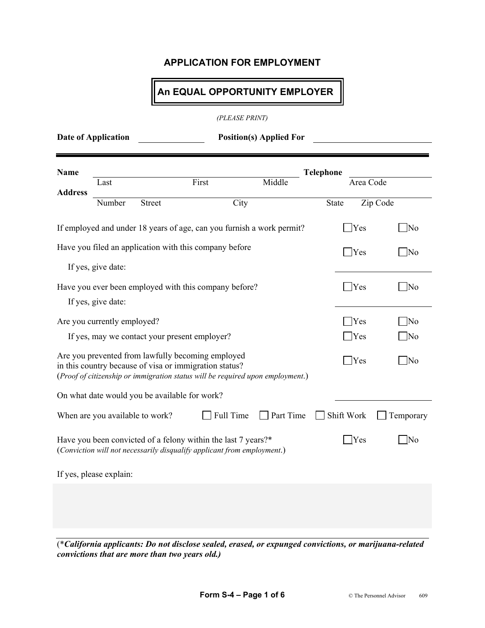### **An EQUAL OPPORTUNITY EMPLOYER**

*(PLEASE PRINT)*

| Date of Application | <b>Position(s) Applied For</b> |
|---------------------|--------------------------------|
|                     |                                |

| Name           |                                                                                                                                                                                                                        |                                               |                                                                                                                                          |           | <b>Telephone</b> |           |                        |
|----------------|------------------------------------------------------------------------------------------------------------------------------------------------------------------------------------------------------------------------|-----------------------------------------------|------------------------------------------------------------------------------------------------------------------------------------------|-----------|------------------|-----------|------------------------|
|                | Last                                                                                                                                                                                                                   |                                               | First                                                                                                                                    | Middle    |                  | Area Code |                        |
| <b>Address</b> | Number                                                                                                                                                                                                                 | <b>Street</b>                                 | City                                                                                                                                     |           | State            | Zip Code  |                        |
|                |                                                                                                                                                                                                                        |                                               | If employed and under 18 years of age, can you furnish a work permit?                                                                    |           |                  | Yes       | N <sub>0</sub>         |
|                |                                                                                                                                                                                                                        |                                               | Have you filed an application with this company before                                                                                   |           |                  | Yes       | $\overline{\text{No}}$ |
|                | If yes, give date:                                                                                                                                                                                                     |                                               |                                                                                                                                          |           |                  |           |                        |
|                |                                                                                                                                                                                                                        |                                               | Have you ever been employed with this company before?                                                                                    |           |                  | Yes       | $\rm No$               |
|                | If yes, give date:                                                                                                                                                                                                     |                                               |                                                                                                                                          |           |                  |           |                        |
|                | Are you currently employed?                                                                                                                                                                                            |                                               |                                                                                                                                          |           |                  | Yes       | N <sub>0</sub>         |
|                |                                                                                                                                                                                                                        | If yes, may we contact your present employer? |                                                                                                                                          |           |                  | Yes       | N <sub>0</sub>         |
|                | Are you prevented from lawfully becoming employed<br>Yes<br>N <sub>o</sub><br>in this country because of visa or immigration status?<br>(Proof of citizenship or immigration status will be required upon employment.) |                                               |                                                                                                                                          |           |                  |           |                        |
|                |                                                                                                                                                                                                                        | On what date would you be available for work? |                                                                                                                                          |           |                  |           |                        |
|                | When are you available to work?                                                                                                                                                                                        |                                               | Full Time                                                                                                                                | Part Time | Shift Work       |           | Temporary              |
|                |                                                                                                                                                                                                                        |                                               | Have you been convicted of a felony within the last 7 years?*<br>(Conviction will not necessarily disqualify applicant from employment.) |           |                  | Yes       | $\overline{\rm No}$    |
|                | If yes, please explain:                                                                                                                                                                                                |                                               |                                                                                                                                          |           |                  |           |                        |
|                |                                                                                                                                                                                                                        |                                               |                                                                                                                                          |           |                  |           |                        |
|                |                                                                                                                                                                                                                        |                                               |                                                                                                                                          |           |                  |           |                        |

(\**California applicants: Do not disclose sealed, erased, or expunged convictions, or marijuana-related convictions that are more than two years old.)*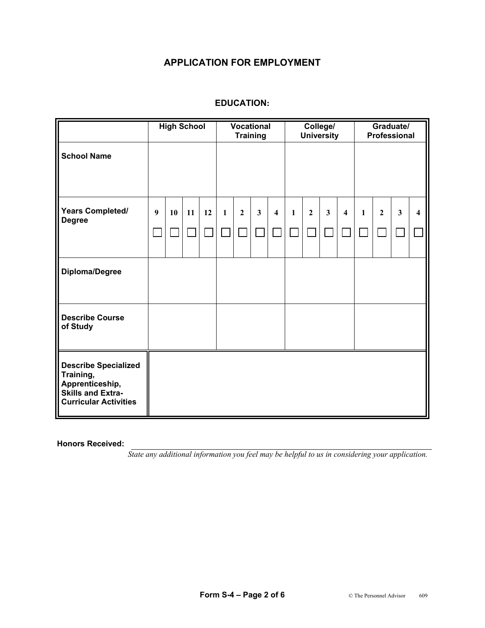#### **EDUCATION:**

|                                                                                                                         | <b>High School</b> |    | <b>Vocational</b><br><b>Training</b> |                |              | College/<br><b>University</b> |              |                         | Graduate/<br>Professional |                |              |                         |              |              |              |                         |
|-------------------------------------------------------------------------------------------------------------------------|--------------------|----|--------------------------------------|----------------|--------------|-------------------------------|--------------|-------------------------|---------------------------|----------------|--------------|-------------------------|--------------|--------------|--------------|-------------------------|
| <b>School Name</b>                                                                                                      |                    |    |                                      |                |              |                               |              |                         |                           |                |              |                         |              |              |              |                         |
| <b>Years Completed/</b><br><b>Degree</b>                                                                                | 9                  | 10 | 11                                   | 12             | $\mathbf{1}$ | $\boldsymbol{2}$              | $\mathbf{3}$ | $\overline{\mathbf{4}}$ | $\mathbf{1}$              | $\overline{2}$ | $\mathbf{3}$ | $\overline{\mathbf{4}}$ | $\mathbf{1}$ | $\mathbf{2}$ | $\mathbf{3}$ | $\overline{\mathbf{4}}$ |
|                                                                                                                         |                    |    |                                      | $\mathbb{R}^2$ |              |                               |              |                         |                           |                |              |                         |              |              |              |                         |
| Diploma/Degree                                                                                                          |                    |    |                                      |                |              |                               |              |                         |                           |                |              |                         |              |              |              |                         |
| <b>Describe Course</b><br>of Study                                                                                      |                    |    |                                      |                |              |                               |              |                         |                           |                |              |                         |              |              |              |                         |
| <b>Describe Specialized</b><br>Training,<br>Apprenticeship,<br><b>Skills and Extra-</b><br><b>Curricular Activities</b> |                    |    |                                      |                |              |                               |              |                         |                           |                |              |                         |              |              |              |                         |

**Honors Received:** 

*State any additional information you feel may be helpful to us in considering your application.*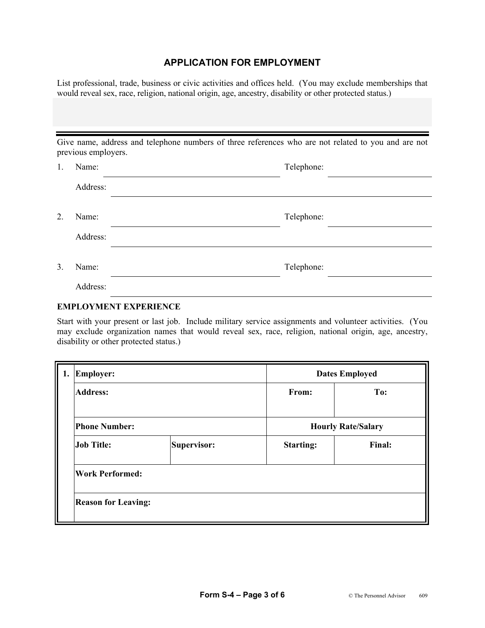List professional, trade, business or civic activities and offices held. (You may exclude memberships that would reveal sex, race, religion, national origin, age, ancestry, disability or other protected status.)

| Give name, address and telephone numbers of three references who are not related to you and are not<br>previous employers. |            |  |  |  |  |  |  |  |
|----------------------------------------------------------------------------------------------------------------------------|------------|--|--|--|--|--|--|--|
| Name:                                                                                                                      | Telephone: |  |  |  |  |  |  |  |
| Address:                                                                                                                   |            |  |  |  |  |  |  |  |
| Name:                                                                                                                      | Telephone: |  |  |  |  |  |  |  |
| Address:                                                                                                                   |            |  |  |  |  |  |  |  |
| Name:                                                                                                                      | Telephone: |  |  |  |  |  |  |  |
| Address:                                                                                                                   |            |  |  |  |  |  |  |  |
|                                                                                                                            |            |  |  |  |  |  |  |  |

### **EMPLOYMENT EXPERIENCE**

Start with your present or last job. Include military service assignments and volunteer activities. (You may exclude organization names that would reveal sex, race, religion, national origin, age, ancestry, disability or other protected status.)

| 1. Employer:               |             |                           | <b>Dates Employed</b> |  |  |  |  |  |
|----------------------------|-------------|---------------------------|-----------------------|--|--|--|--|--|
| <b>Address:</b>            |             | From:                     | To:                   |  |  |  |  |  |
|                            |             |                           |                       |  |  |  |  |  |
| <b>Phone Number:</b>       |             | <b>Hourly Rate/Salary</b> |                       |  |  |  |  |  |
| <b>Job Title:</b>          | Supervisor: | <b>Starting:</b>          | Final:                |  |  |  |  |  |
| <b>Work Performed:</b>     |             |                           |                       |  |  |  |  |  |
| <b>Reason for Leaving:</b> |             |                           |                       |  |  |  |  |  |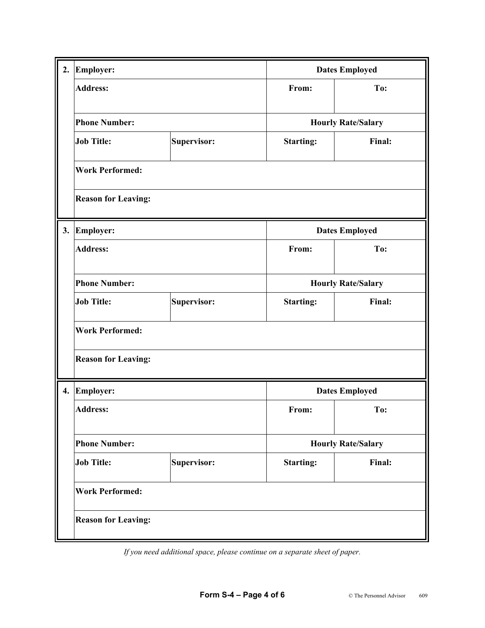| 2.                 | Employer:                  |             |                  | <b>Dates Employed</b>     |  |  |  |  |  |  |
|--------------------|----------------------------|-------------|------------------|---------------------------|--|--|--|--|--|--|
|                    | <b>Address:</b>            |             | From:            | To:                       |  |  |  |  |  |  |
|                    | <b>Phone Number:</b>       |             |                  | <b>Hourly Rate/Salary</b> |  |  |  |  |  |  |
|                    | <b>Job Title:</b>          | Supervisor: | <b>Starting:</b> | Final:                    |  |  |  |  |  |  |
|                    | <b>Work Performed:</b>     |             |                  |                           |  |  |  |  |  |  |
|                    | <b>Reason for Leaving:</b> |             |                  |                           |  |  |  |  |  |  |
| 3.                 | Employer:                  |             |                  | <b>Dates Employed</b>     |  |  |  |  |  |  |
|                    | <b>Address:</b>            |             | From:            | To:                       |  |  |  |  |  |  |
|                    | <b>Phone Number:</b>       |             |                  | <b>Hourly Rate/Salary</b> |  |  |  |  |  |  |
|                    | <b>Job Title:</b>          | Supervisor: | <b>Starting:</b> | Final:                    |  |  |  |  |  |  |
|                    | <b>Work Performed:</b>     |             |                  |                           |  |  |  |  |  |  |
|                    | <b>Reason for Leaving:</b> |             |                  |                           |  |  |  |  |  |  |
| $\boldsymbol{4}$ . | Employer:                  |             |                  | <b>Dates Employed</b>     |  |  |  |  |  |  |
|                    | <b>Address:</b>            |             | From:            | To:                       |  |  |  |  |  |  |
|                    | <b>Phone Number:</b>       |             |                  | <b>Hourly Rate/Salary</b> |  |  |  |  |  |  |
|                    | <b>Job Title:</b>          | Supervisor: | <b>Starting:</b> | Final:                    |  |  |  |  |  |  |
|                    | <b>Work Performed:</b>     |             |                  |                           |  |  |  |  |  |  |
|                    | <b>Reason for Leaving:</b> |             |                  |                           |  |  |  |  |  |  |

*If you need additional space, please continue on a separate sheet of paper.*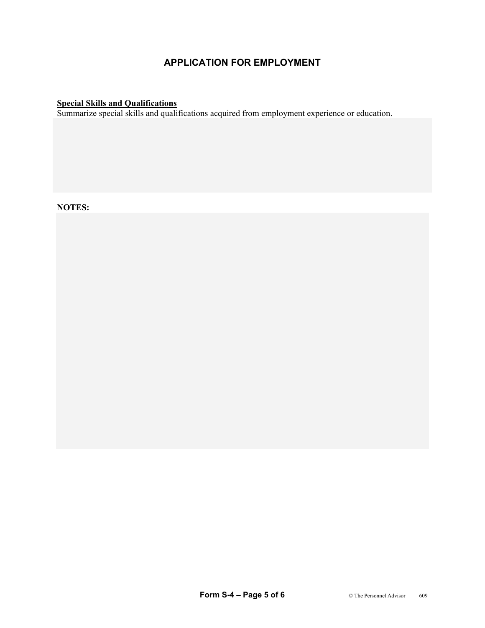#### **Special Skills and Qualifications**

Summarize special skills and qualifications acquired from employment experience or education.

**NOTES:**